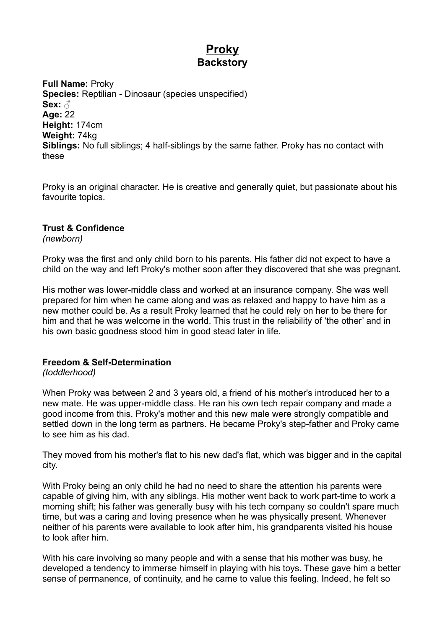# **Proky Backstory**

**Full Name:** Proky **Species:** Reptilian - Dinosaur (species unspecified) **Sex:** ♂ **Age:** 22 **Height:** 174cm **Weight:** 74kg **Siblings:** No full siblings; 4 half-siblings by the same father. Proky has no contact with these

Proky is an original character. He is creative and generally quiet, but passionate about his favourite topics.

## **Trust & Confidence**

*(newborn)*

Proky was the first and only child born to his parents. His father did not expect to have a child on the way and left Proky's mother soon after they discovered that she was pregnant.

His mother was lower-middle class and worked at an insurance company. She was well prepared for him when he came along and was as relaxed and happy to have him as a new mother could be. As a result Proky learned that he could rely on her to be there for him and that he was welcome in the world. This trust in the reliability of 'the other' and in his own basic goodness stood him in good stead later in life.

### **Freedom & Self-Determination**

#### *(toddlerhood)*

When Proky was between 2 and 3 years old, a friend of his mother's introduced her to a new mate. He was upper-middle class. He ran his own tech repair company and made a good income from this. Proky's mother and this new male were strongly compatible and settled down in the long term as partners. He became Proky's step-father and Proky came to see him as his dad.

They moved from his mother's flat to his new dad's flat, which was bigger and in the capital city.

With Proky being an only child he had no need to share the attention his parents were capable of giving him, with any siblings. His mother went back to work part-time to work a morning shift; his father was generally busy with his tech company so couldn't spare much time, but was a caring and loving presence when he was physically present. Whenever neither of his parents were available to look after him, his grandparents visited his house to look after him.

With his care involving so many people and with a sense that his mother was busy, he developed a tendency to immerse himself in playing with his toys. These gave him a better sense of permanence, of continuity, and he came to value this feeling. Indeed, he felt so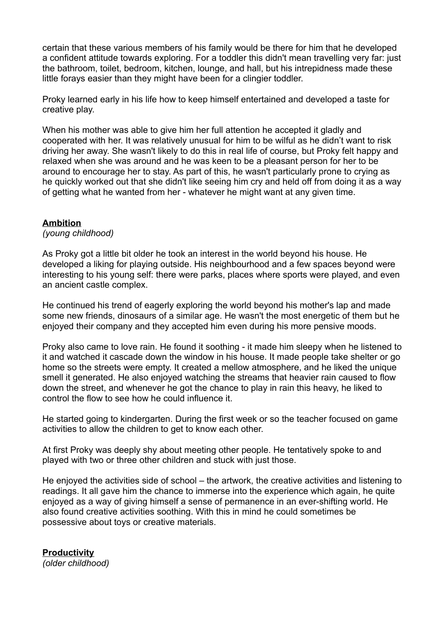certain that these various members of his family would be there for him that he developed a confident attitude towards exploring. For a toddler this didn't mean travelling very far: just the bathroom, toilet, bedroom, kitchen, lounge, and hall, but his intrepidness made these little forays easier than they might have been for a clingier toddler.

Proky learned early in his life how to keep himself entertained and developed a taste for creative play.

When his mother was able to give him her full attention he accepted it gladly and cooperated with her. It was relatively unusual for him to be wilful as he didn't want to risk driving her away. She wasn't likely to do this in real life of course, but Proky felt happy and relaxed when she was around and he was keen to be a pleasant person for her to be around to encourage her to stay. As part of this, he wasn't particularly prone to crying as he quickly worked out that she didn't like seeing him cry and held off from doing it as a way of getting what he wanted from her - whatever he might want at any given time.

#### **Ambition**

*(young childhood)*

As Proky got a little bit older he took an interest in the world beyond his house. He developed a liking for playing outside. His neighbourhood and a few spaces beyond were interesting to his young self: there were parks, places where sports were played, and even an ancient castle complex.

He continued his trend of eagerly exploring the world beyond his mother's lap and made some new friends, dinosaurs of a similar age. He wasn't the most energetic of them but he enjoyed their company and they accepted him even during his more pensive moods.

Proky also came to love rain. He found it soothing - it made him sleepy when he listened to it and watched it cascade down the window in his house. It made people take shelter or go home so the streets were empty. It created a mellow atmosphere, and he liked the unique smell it generated. He also enjoyed watching the streams that heavier rain caused to flow down the street, and whenever he got the chance to play in rain this heavy, he liked to control the flow to see how he could influence it.

He started going to kindergarten. During the first week or so the teacher focused on game activities to allow the children to get to know each other.

At first Proky was deeply shy about meeting other people. He tentatively spoke to and played with two or three other children and stuck with just those.

He enjoyed the activities side of school – the artwork, the creative activities and listening to readings. It all gave him the chance to immerse into the experience which again, he quite enjoyed as a way of giving himself a sense of permanence in an ever-shifting world. He also found creative activities soothing. With this in mind he could sometimes be possessive about toys or creative materials.

**Productivity** *(older childhood)*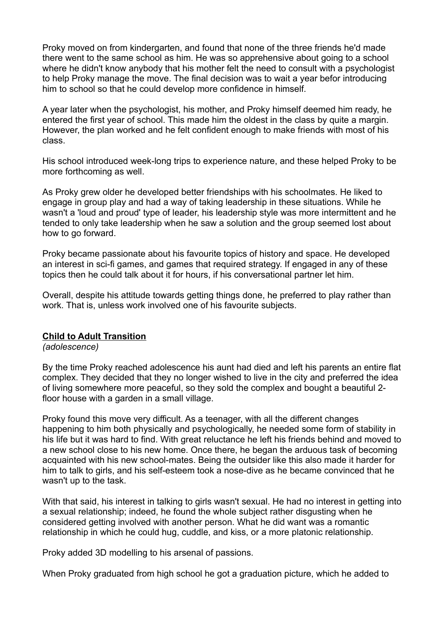Proky moved on from kindergarten, and found that none of the three friends he'd made there went to the same school as him. He was so apprehensive about going to a school where he didn't know anybody that his mother felt the need to consult with a psychologist to help Proky manage the move. The final decision was to wait a year befor introducing him to school so that he could develop more confidence in himself.

A year later when the psychologist, his mother, and Proky himself deemed him ready, he entered the first year of school. This made him the oldest in the class by quite a margin. However, the plan worked and he felt confident enough to make friends with most of his class.

His school introduced week-long trips to experience nature, and these helped Proky to be more forthcoming as well.

As Proky grew older he developed better friendships with his schoolmates. He liked to engage in group play and had a way of taking leadership in these situations. While he wasn't a 'loud and proud' type of leader, his leadership style was more intermittent and he tended to only take leadership when he saw a solution and the group seemed lost about how to go forward.

Proky became passionate about his favourite topics of history and space. He developed an interest in sci-fi games, and games that required strategy. If engaged in any of these topics then he could talk about it for hours, if his conversational partner let him.

Overall, despite his attitude towards getting things done, he preferred to play rather than work. That is, unless work involved one of his favourite subjects.

#### **Child to Adult Transition**

*(adolescence)*

By the time Proky reached adolescence his aunt had died and left his parents an entire flat complex. They decided that they no longer wished to live in the city and preferred the idea of living somewhere more peaceful, so they sold the complex and bought a beautiful 2 floor house with a garden in a small village.

Proky found this move very difficult. As a teenager, with all the different changes happening to him both physically and psychologically, he needed some form of stability in his life but it was hard to find. With great reluctance he left his friends behind and moved to a new school close to his new home. Once there, he began the arduous task of becoming acquainted with his new school-mates. Being the outsider like this also made it harder for him to talk to girls, and his self-esteem took a nose-dive as he became convinced that he wasn't up to the task.

With that said, his interest in talking to girls wasn't sexual. He had no interest in getting into a sexual relationship; indeed, he found the whole subject rather disgusting when he considered getting involved with another person. What he did want was a romantic relationship in which he could hug, cuddle, and kiss, or a more platonic relationship.

Proky added 3D modelling to his arsenal of passions.

When Proky graduated from high school he got a graduation picture, which he added to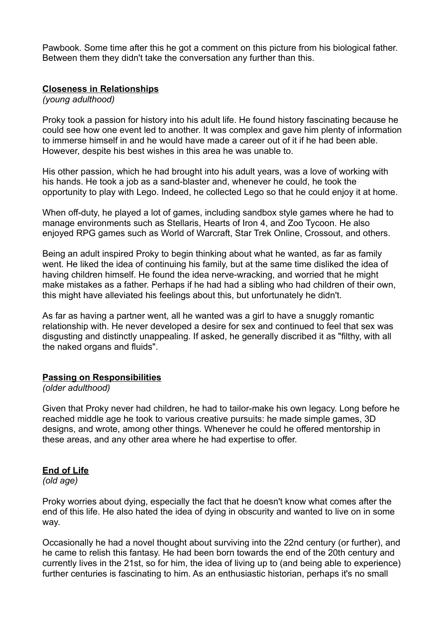Pawbook. Some time after this he got a comment on this picture from his biological father. Between them they didn't take the conversation any further than this.

#### **Closeness in Relationships**

*(young adulthood)*

Proky took a passion for history into his adult life. He found history fascinating because he could see how one event led to another. It was complex and gave him plenty of information to immerse himself in and he would have made a career out of it if he had been able. However, despite his best wishes in this area he was unable to.

His other passion, which he had brought into his adult years, was a love of working with his hands. He took a job as a sand-blaster and, whenever he could, he took the opportunity to play with Lego. Indeed, he collected Lego so that he could enjoy it at home.

When off-duty, he played a lot of games, including sandbox style games where he had to manage environments such as Stellaris, Hearts of Iron 4, and Zoo Tycoon. He also enjoyed RPG games such as World of Warcraft, Star Trek Online, Crossout, and others.

Being an adult inspired Proky to begin thinking about what he wanted, as far as family went. He liked the idea of continuing his family, but at the same time disliked the idea of having children himself. He found the idea nerve-wracking, and worried that he might make mistakes as a father. Perhaps if he had had a sibling who had children of their own, this might have alleviated his feelings about this, but unfortunately he didn't.

As far as having a partner went, all he wanted was a girl to have a snuggly romantic relationship with. He never developed a desire for sex and continued to feel that sex was disgusting and distinctly unappealing. If asked, he generally discribed it as "filthy, with all the naked organs and fluids".

#### **Passing on Responsibilities**

*(older adulthood)*

Given that Proky never had children, he had to tailor-make his own legacy. Long before he reached middle age he took to various creative pursuits: he made simple games, 3D designs, and wrote, among other things. Whenever he could he offered mentorship in these areas, and any other area where he had expertise to offer.

# **End of Life**

*(old age)*

Proky worries about dying, especially the fact that he doesn't know what comes after the end of this life. He also hated the idea of dying in obscurity and wanted to live on in some way.

Occasionally he had a novel thought about surviving into the 22nd century (or further), and he came to relish this fantasy. He had been born towards the end of the 20th century and currently lives in the 21st, so for him, the idea of living up to (and being able to experience) further centuries is fascinating to him. As an enthusiastic historian, perhaps it's no small